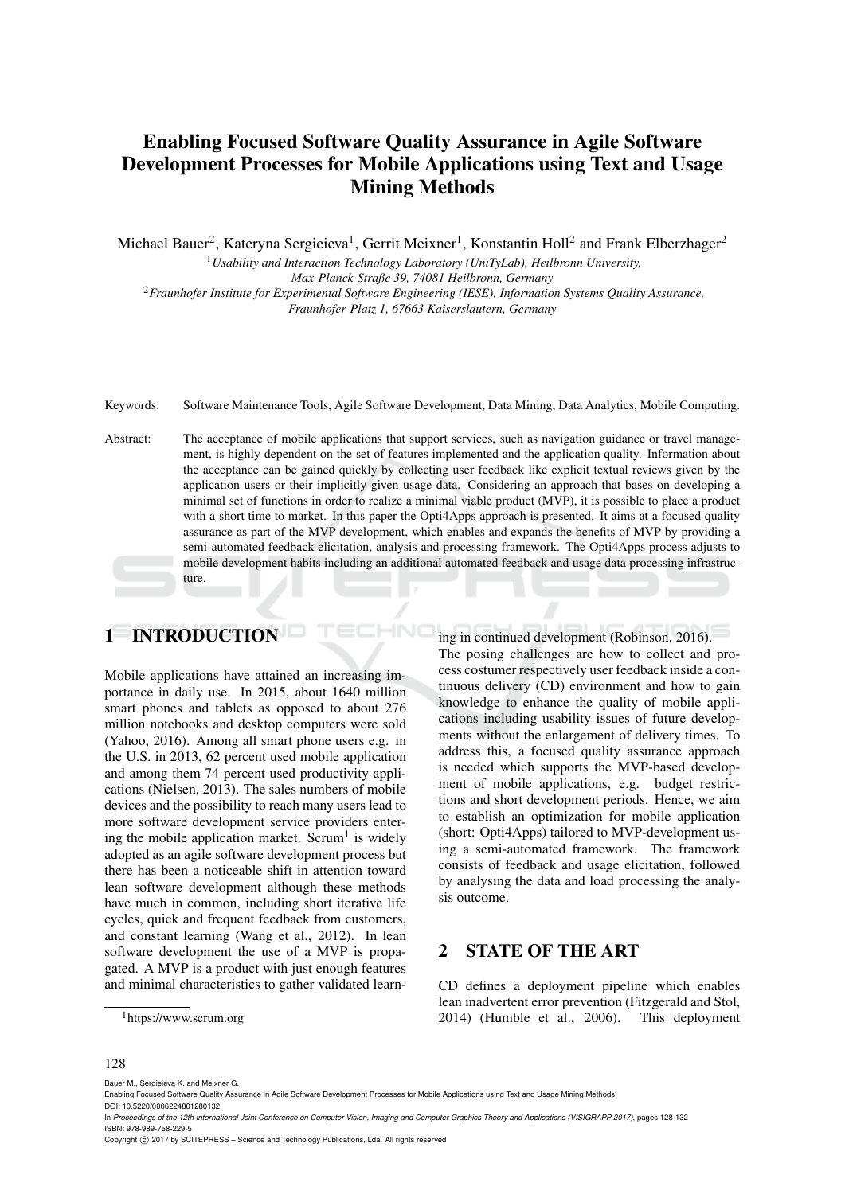# Enabling Focused Software Quality Assurance in Agile Software Development Processes for Mobile Applications using Text and Usage Mining Methods

Michael Bauer<sup>2</sup>, Kateryna Sergieieva<sup>1</sup>, Gerrit Meixner<sup>1</sup>, Konstantin Holl<sup>2</sup> and Frank Elberzhager<sup>2</sup>

<sup>1</sup>*Usability and Interaction Technology Laboratory (UniTyLab), Heilbronn University, Max-Planck-Straße 39, 74081 Heilbronn, Germany* <sup>2</sup>*Fraunhofer Institute for Experimental Software Engineering (IESE), Information Systems Quality Assurance, Fraunhofer-Platz 1, 67663 Kaiserslautern, Germany*

Keywords: Software Maintenance Tools, Agile Software Development, Data Mining, Data Analytics, Mobile Computing.

Abstract: The acceptance of mobile applications that support services, such as navigation guidance or travel management, is highly dependent on the set of features implemented and the application quality. Information about the acceptance can be gained quickly by collecting user feedback like explicit textual reviews given by the application users or their implicitly given usage data. Considering an approach that bases on developing a minimal set of functions in order to realize a minimal viable product (MVP), it is possible to place a product with a short time to market. In this paper the Opti4Apps approach is presented. It aims at a focused quality assurance as part of the MVP development, which enables and expands the benefits of MVP by providing a semi-automated feedback elicitation, analysis and processing framework. The Opti4Apps process adjusts to mobile development habits including an additional automated feedback and usage data processing infrastructure.

# 1 INTRODUCTION

Mobile applications have attained an increasing importance in daily use. In 2015, about 1640 million smart phones and tablets as opposed to about 276 million notebooks and desktop computers were sold (Yahoo, 2016). Among all smart phone users e.g. in the U.S. in 2013, 62 percent used mobile application and among them 74 percent used productivity applications (Nielsen, 2013). The sales numbers of mobile devices and the possibility to reach many users lead to more software development service providers entering the mobile application market. Scrum<sup>1</sup> is widely adopted as an agile software development process but there has been a noticeable shift in attention toward lean software development although these methods have much in common, including short iterative life cycles, quick and frequent feedback from customers, and constant learning (Wang et al., 2012). In lean software development the use of a MVP is propagated. A MVP is a product with just enough features and minimal characteristics to gather validated learning in continued development (Robinson, 2016). The posing challenges are how to collect and process costumer respectively user feedback inside a continuous delivery (CD) environment and how to gain knowledge to enhance the quality of mobile applications including usability issues of future developments without the enlargement of delivery times. To address this, a focused quality assurance approach is needed which supports the MVP-based development of mobile applications, e.g. budget restrictions and short development periods. Hence, we aim to establish an optimization for mobile application (short: Opti4Apps) tailored to MVP-development using a semi-automated framework. The framework consists of feedback and usage elicitation, followed by analysing the data and load processing the analysis outcome.

#### 2 STATE OF THE ART

CD defines a deployment pipeline which enables lean inadvertent error prevention (Fitzgerald and Stol, 2014) (Humble et al., 2006). This deployment

#### 128

Bauer M., Sergieieva K. and Meixner G.

<sup>&</sup>lt;sup>1</sup>https://www.scrum.org

Enabling Focused Software Quality Assurance in Agile Software Development Processes for Mobile Applications using Text and Usage Mining Methods. DOI: 10.5220/0006224801280132

In *Proceedings of the 12th International Joint Conference on Computer Vision, Imaging and Computer Graphics Theory and Applications (VISIGRAPP 2017)*, pages 128-132 ISBN: 978-989-758-229-5

Copyright (C) 2017 by SCITEPRESS - Science and Technology Publications, Lda. All rights reserved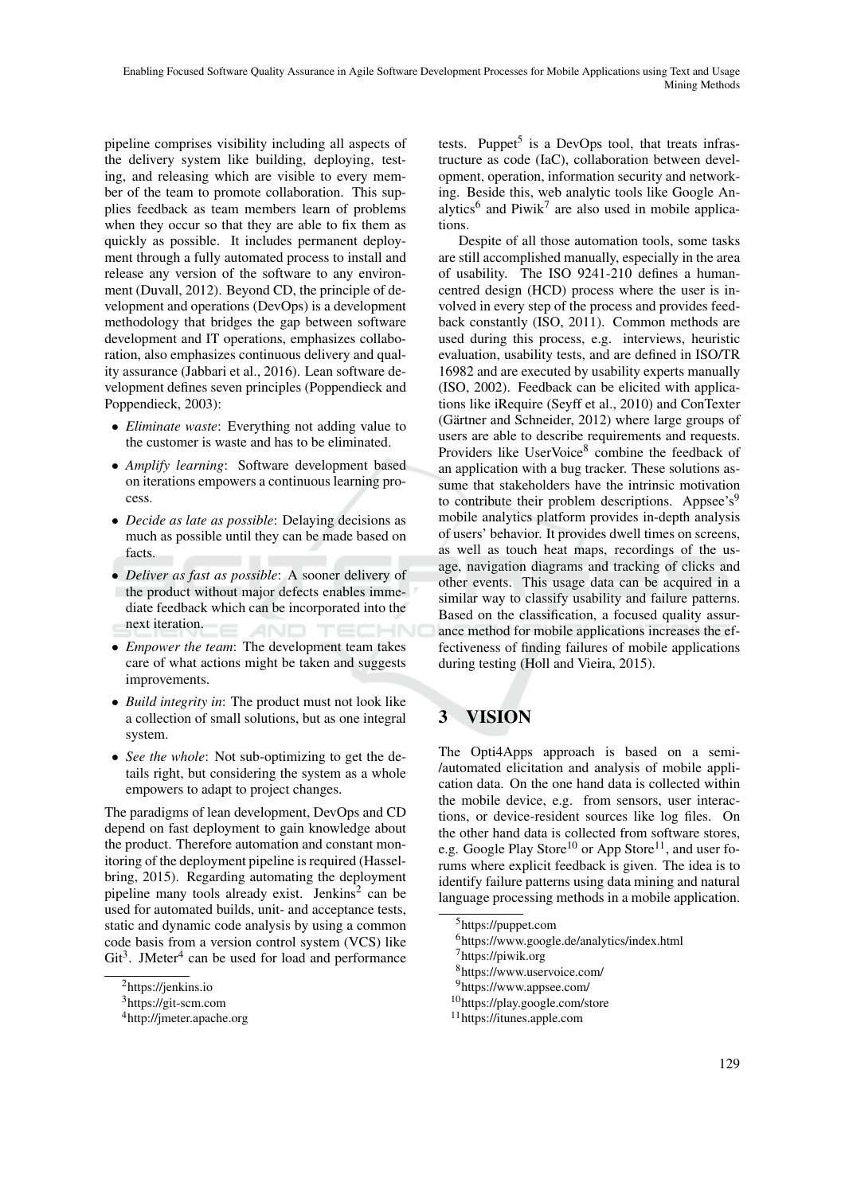pipeline comprises visibility including all aspects of the delivery system like building, deploying, testing, and releasing which are visible to every member of the team to promote collaboration. This supplies feedback as team members learn of problems when they occur so that they are able to fix them as quickly as possible. It includes permanent deployment through a fully automated process to install and release any version of the software to any environment (Duvall, 2012). Beyond CD, the principle of development and operations (DevOps) is a development methodology that bridges the gap between software development and IT operations, emphasizes collaboration, also emphasizes continuous delivery and quality assurance (Jabbari et al., 2016). Lean software development defines seven principles (Poppendieck and Poppendieck, 2003):

- *Eliminate waste*: Everything not adding value to the customer is waste and has to be eliminated.
- *Amplify learning*: Software development based on iterations empowers a continuous learning process.
- *Decide as late as possible*: Delaying decisions as much as possible until they can be made based on facts.
- *Deliver as fast as possible*: A sooner delivery of the product without major defects enables immediate feedback which can be incorporated into the next iteration. AND
- *Empower the team*: The development team takes care of what actions might be taken and suggests improvements.
- *Build integrity in*: The product must not look like a collection of small solutions, but as one integral system.
- *See the whole*: Not sub-optimizing to get the details right, but considering the system as a whole empowers to adapt to project changes.

The paradigms of lean development, DevOps and CD depend on fast deployment to gain knowledge about the product. Therefore automation and constant monitoring of the deployment pipeline is required (Hasselbring, 2015). Regarding automating the deployment pipeline many tools already exist. Jenkins<sup>2</sup> can be used for automated builds, unit- and acceptance tests, static and dynamic code analysis by using a common code basis from a version control system (VCS) like Git<sup>3</sup>. JMeter<sup>4</sup> can be used for load and performance

tests. Puppet<sup>5</sup> is a DevOps tool, that treats infrastructure as code (IaC), collaboration between development, operation, information security and networking. Beside this, web analytic tools like Google Analytics<sup>6</sup> and Piwik<sup>7</sup> are also used in mobile applications.

Despite of all those automation tools, some tasks are still accomplished manually, especially in the area of usability. The ISO 9241-210 defines a humancentred design (HCD) process where the user is involved in every step of the process and provides feedback constantly (ISO, 2011). Common methods are used during this process, e.g. interviews, heuristic evaluation, usability tests, and are defined in ISO/TR 16982 and are executed by usability experts manually (ISO, 2002). Feedback can be elicited with applications like iRequire (Seyff et al., 2010) and ConTexter (Gärtner and Schneider,  $2012$ ) where large groups of users are able to describe requirements and requests. Providers like UserVoice<sup>8</sup> combine the feedback of an application with a bug tracker. These solutions assume that stakeholders have the intrinsic motivation to contribute their problem descriptions. Appsee's $9$ mobile analytics platform provides in-depth analysis of users' behavior. It provides dwell times on screens, as well as touch heat maps, recordings of the usage, navigation diagrams and tracking of clicks and other events. This usage data can be acquired in a similar way to classify usability and failure patterns. Based on the classification, a focused quality assurance method for mobile applications increases the effectiveness of finding failures of mobile applications during testing (Holl and Vieira, 2015).

# 3 VISION

The Opti4Apps approach is based on a semi- /automated elicitation and analysis of mobile application data. On the one hand data is collected within the mobile device, e.g. from sensors, user interactions, or device-resident sources like log files. On the other hand data is collected from software stores, e.g. Google Play Store<sup>10</sup> or App Store<sup>11</sup>, and user forums where explicit feedback is given. The idea is to identify failure patterns using data mining and natural language processing methods in a mobile application.

<sup>2</sup>https://jenkins.io

<sup>3</sup>https://git-scm.com

<sup>4</sup>http://jmeter.apache.org

<sup>5</sup>https://puppet.com

<sup>6</sup>https://www.google.de/analytics/index.html

<sup>7</sup>https://piwik.org

<sup>8</sup>https://www.uservoice.com/

<sup>9</sup>https://www.appsee.com/

<sup>10</sup>https://play.google.com/store

<sup>11</sup>https://itunes.apple.com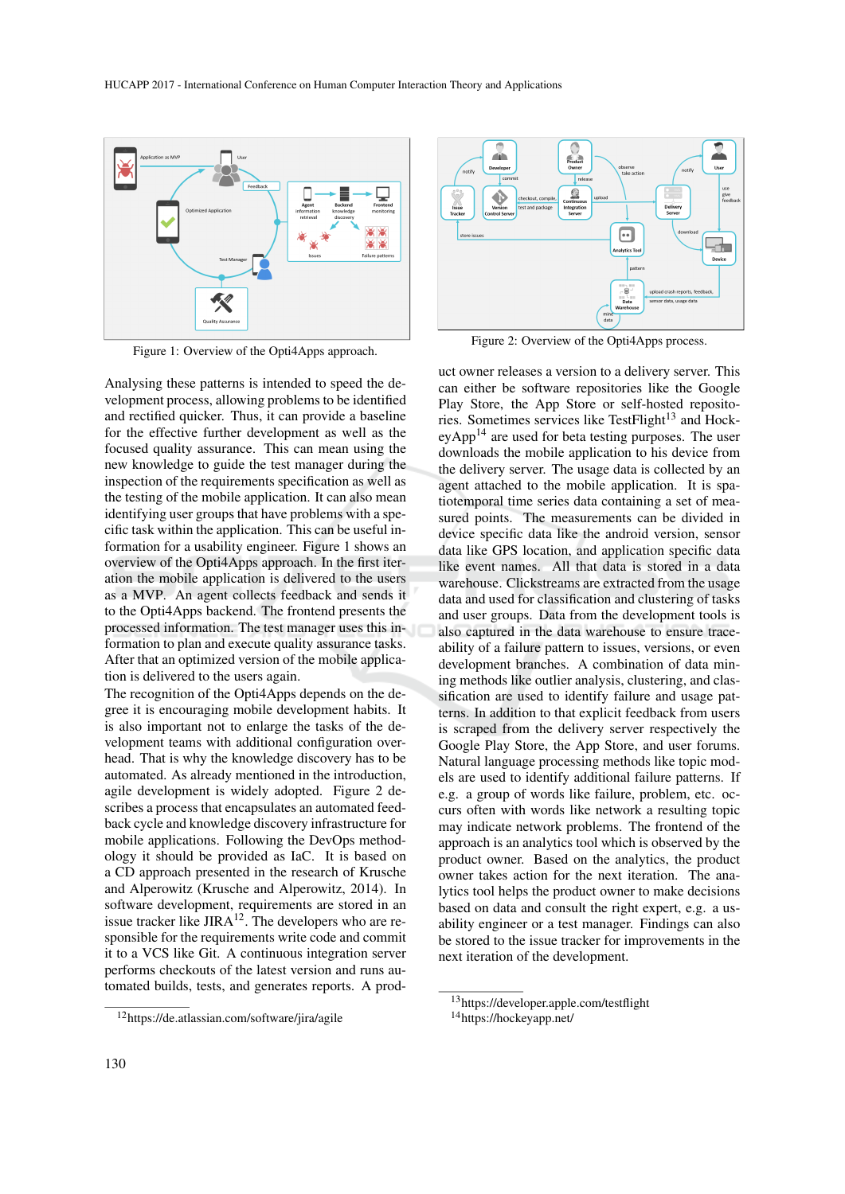

Figure 1: Overview of the Opti4Apps approach.

Analysing these patterns is intended to speed the development process, allowing problems to be identified and rectified quicker. Thus, it can provide a baseline for the effective further development as well as the focused quality assurance. This can mean using the new knowledge to guide the test manager during the inspection of the requirements specification as well as the testing of the mobile application. It can also mean identifying user groups that have problems with a specific task within the application. This can be useful information for a usability engineer. Figure 1 shows an overview of the Opti4Apps approach. In the first iteration the mobile application is delivered to the users as a MVP. An agent collects feedback and sends it to the Opti4Apps backend. The frontend presents the processed information. The test manager uses this information to plan and execute quality assurance tasks. After that an optimized version of the mobile application is delivered to the users again.

The recognition of the Opti4Apps depends on the degree it is encouraging mobile development habits. It is also important not to enlarge the tasks of the development teams with additional configuration overhead. That is why the knowledge discovery has to be automated. As already mentioned in the introduction, agile development is widely adopted. Figure 2 describes a process that encapsulates an automated feedback cycle and knowledge discovery infrastructure for mobile applications. Following the DevOps methodology it should be provided as IaC. It is based on a CD approach presented in the research of Krusche and Alperowitz (Krusche and Alperowitz, 2014). In software development, requirements are stored in an issue tracker like  $JIRA^{12}$ . The developers who are responsible for the requirements write code and commit it to a VCS like Git. A continuous integration server performs checkouts of the latest version and runs automated builds, tests, and generates reports. A prod-



Figure 2: Overview of the Opti4Apps process.

uct owner releases a version to a delivery server. This can either be software repositories like the Google Play Store, the App Store or self-hosted repositories. Sometimes services like TestFlight<sup>13</sup> and Hock $eyApp<sup>14</sup>$  are used for beta testing purposes. The user downloads the mobile application to his device from the delivery server. The usage data is collected by an agent attached to the mobile application. It is spatiotemporal time series data containing a set of measured points. The measurements can be divided in device specific data like the android version, sensor data like GPS location, and application specific data like event names. All that data is stored in a data warehouse. Clickstreams are extracted from the usage data and used for classification and clustering of tasks and user groups. Data from the development tools is also captured in the data warehouse to ensure traceability of a failure pattern to issues, versions, or even development branches. A combination of data mining methods like outlier analysis, clustering, and classification are used to identify failure and usage patterns. In addition to that explicit feedback from users is scraped from the delivery server respectively the Google Play Store, the App Store, and user forums. Natural language processing methods like topic models are used to identify additional failure patterns. If e.g. a group of words like failure, problem, etc. occurs often with words like network a resulting topic may indicate network problems. The frontend of the approach is an analytics tool which is observed by the product owner. Based on the analytics, the product owner takes action for the next iteration. The analytics tool helps the product owner to make decisions based on data and consult the right expert, e.g. a usability engineer or a test manager. Findings can also be stored to the issue tracker for improvements in the next iteration of the development.

<sup>12</sup>https://de.atlassian.com/software/jira/agile

<sup>13</sup>https://developer.apple.com/testflight

<sup>14</sup>https://hockeyapp.net/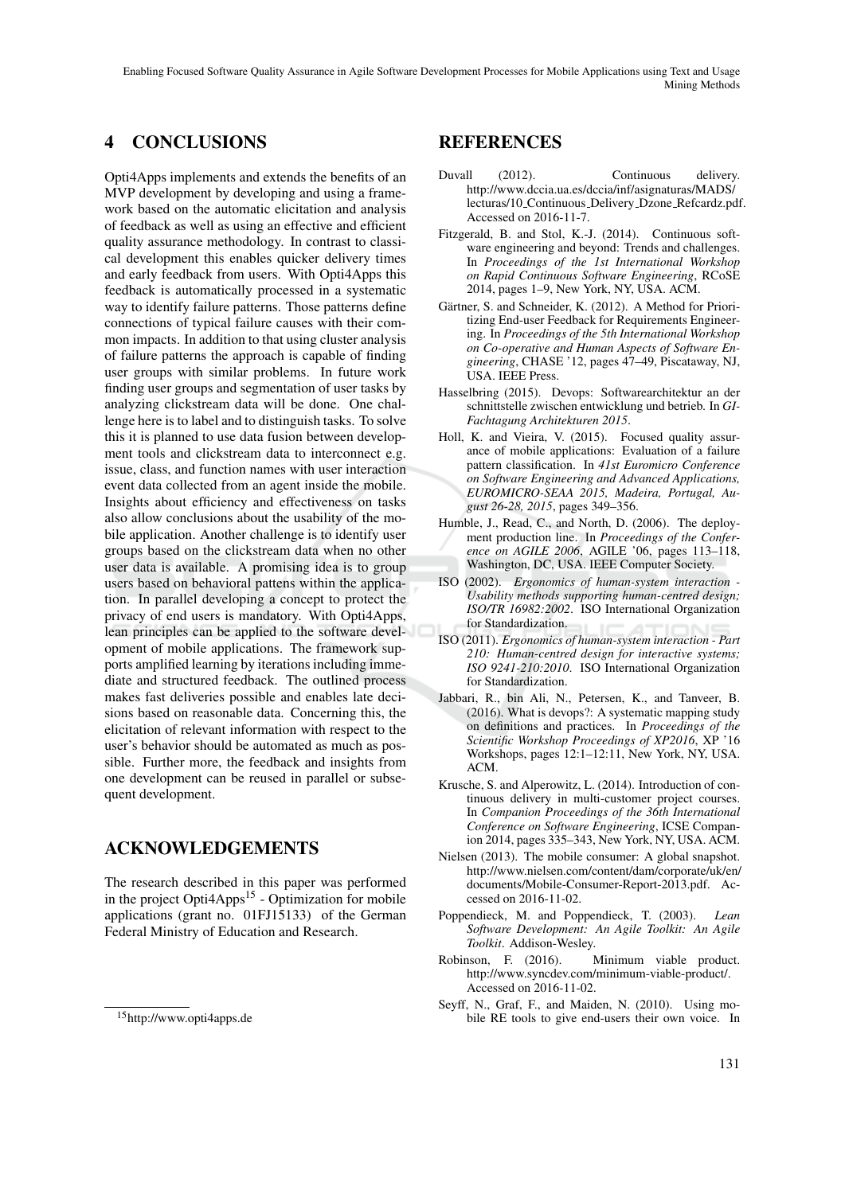Enabling Focused Software Quality Assurance in Agile Software Development Processes for Mobile Applications using Text and Usage Mining Methods

## 4 CONCLUSIONS

Opti4Apps implements and extends the benefits of an MVP development by developing and using a framework based on the automatic elicitation and analysis of feedback as well as using an effective and efficient quality assurance methodology. In contrast to classical development this enables quicker delivery times and early feedback from users. With Opti4Apps this feedback is automatically processed in a systematic way to identify failure patterns. Those patterns define connections of typical failure causes with their common impacts. In addition to that using cluster analysis of failure patterns the approach is capable of finding user groups with similar problems. In future work finding user groups and segmentation of user tasks by analyzing clickstream data will be done. One challenge here is to label and to distinguish tasks. To solve this it is planned to use data fusion between development tools and clickstream data to interconnect e.g. issue, class, and function names with user interaction event data collected from an agent inside the mobile. Insights about efficiency and effectiveness on tasks also allow conclusions about the usability of the mobile application. Another challenge is to identify user groups based on the clickstream data when no other user data is available. A promising idea is to group users based on behavioral pattens within the application. In parallel developing a concept to protect the privacy of end users is mandatory. With Opti4Apps, lean principles can be applied to the software development of mobile applications. The framework supports amplified learning by iterations including immediate and structured feedback. The outlined process makes fast deliveries possible and enables late decisions based on reasonable data. Concerning this, the elicitation of relevant information with respect to the user's behavior should be automated as much as possible. Further more, the feedback and insights from one development can be reused in parallel or subsequent development.

### ACKNOWLEDGEMENTS

The research described in this paper was performed in the project  $Opti4Apps<sup>15</sup>$  - Optimization for mobile applications (grant no. 01FJ15133) of the German Federal Ministry of Education and Research.

#### REFERENCES

- Duvall (2012). Continuous delivery. http://www.dccia.ua.es/dccia/inf/asignaturas/MADS/ lecturas/10 Continuous Delivery Dzone Refcardz.pdf. Accessed on 2016-11-7.
- Fitzgerald, B. and Stol, K.-J. (2014). Continuous software engineering and beyond: Trends and challenges. In *Proceedings of the 1st International Workshop on Rapid Continuous Software Engineering*, RCoSE 2014, pages 1–9, New York, NY, USA. ACM.
- Gärtner, S. and Schneider, K. (2012). A Method for Prioritizing End-user Feedback for Requirements Engineering. In *Proceedings of the 5th International Workshop on Co-operative and Human Aspects of Software Engineering*, CHASE '12, pages 47–49, Piscataway, NJ, USA. IEEE Press.
- Hasselbring (2015). Devops: Softwarearchitektur an der schnittstelle zwischen entwicklung und betrieb. In *GI-Fachtagung Architekturen 2015*.
- Holl, K. and Vieira, V. (2015). Focused quality assurance of mobile applications: Evaluation of a failure pattern classification. In *41st Euromicro Conference on Software Engineering and Advanced Applications, EUROMICRO-SEAA 2015, Madeira, Portugal, August 26-28, 2015*, pages 349–356.
- Humble, J., Read, C., and North, D. (2006). The deployment production line. In *Proceedings of the Conference on AGILE 2006*, AGILE '06, pages 113–118, Washington, DC, USA. IEEE Computer Society.
- ISO (2002). *Ergonomics of human-system interaction - Usability methods supporting human-centred design; ISO/TR 16982:2002*. ISO International Organization for Standardization.
- ISO (2011). *Ergonomics of human-system interaction Part 210: Human-centred design for interactive systems; ISO 9241-210:2010*. ISO International Organization for Standardization.
- Jabbari, R., bin Ali, N., Petersen, K., and Tanveer, B. (2016). What is devops?: A systematic mapping study on definitions and practices. In *Proceedings of the Scientific Workshop Proceedings of XP2016*, XP '16 Workshops, pages 12:1–12:11, New York, NY, USA. ACM.
- Krusche, S. and Alperowitz, L. (2014). Introduction of continuous delivery in multi-customer project courses. In *Companion Proceedings of the 36th International Conference on Software Engineering*, ICSE Companion 2014, pages 335–343, New York, NY, USA. ACM.
- Nielsen (2013). The mobile consumer: A global snapshot. http://www.nielsen.com/content/dam/corporate/uk/en/ documents/Mobile-Consumer-Report-2013.pdf. Accessed on 2016-11-02.
- Poppendieck, M. and Poppendieck, T. (2003). *Lean Software Development: An Agile Toolkit: An Agile Toolkit*. Addison-Wesley.
- Robinson, F. (2016). Minimum viable product. http://www.syncdev.com/minimum-viable-product/. Accessed on 2016-11-02.
- Seyff, N., Graf, F., and Maiden, N. (2010). Using mobile RE tools to give end-users their own voice. In

<sup>15</sup>http://www.opti4apps.de